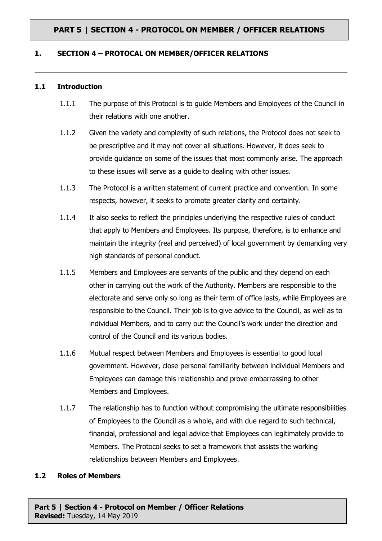#### **1. SECTION 4 – PROTOCAL ON MEMBER/OFFICER RELATIONS**

#### **1.1 Introduction**

- 1.1.1 The purpose of this Protocol is to guide Members and Employees of the Council in their relations with one another.
- 1.1.2 Given the variety and complexity of such relations, the Protocol does not seek to be prescriptive and it may not cover all situations. However, it does seek to provide guidance on some of the issues that most commonly arise. The approach to these issues will serve as a guide to dealing with other issues.
- 1.1.3 The Protocol is a written statement of current practice and convention. In some respects, however, it seeks to promote greater clarity and certainty.
- 1.1.4 It also seeks to reflect the principles underlying the respective rules of conduct that apply to Members and Employees. Its purpose, therefore, is to enhance and maintain the integrity (real and perceived) of local government by demanding very high standards of personal conduct.
- 1.1.5 Members and Employees are servants of the public and they depend on each other in carrying out the work of the Authority. Members are responsible to the electorate and serve only so long as their term of office lasts, while Employees are responsible to the Council. Their job is to give advice to the Council, as well as to individual Members, and to carry out the Council's work under the direction and control of the Council and its various bodies.
- 1.1.6 Mutual respect between Members and Employees is essential to good local government. However, close personal familiarity between individual Members and Employees can damage this relationship and prove embarrassing to other Members and Employees.
- 1.1.7 The relationship has to function without compromising the ultimate responsibilities of Employees to the Council as a whole, and with due regard to such technical, financial, professional and legal advice that Employees can legitimately provide to Members. The Protocol seeks to set a framework that assists the working relationships between Members and Employees.

### **1.2 Roles of Members**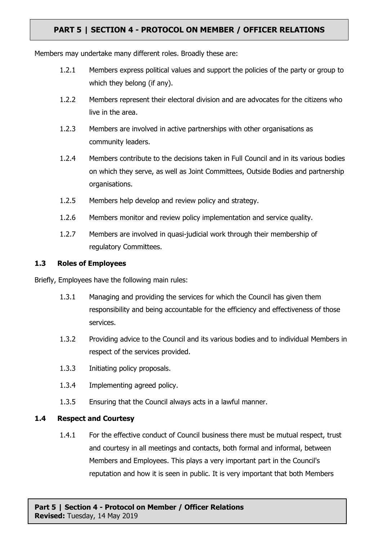Members may undertake many different roles. Broadly these are:

- 1.2.1 Members express political values and support the policies of the party or group to which they belong (if any).
- 1.2.2 Members represent their electoral division and are advocates for the citizens who live in the area.
- 1.2.3 Members are involved in active partnerships with other organisations as community leaders.
- 1.2.4 Members contribute to the decisions taken in Full Council and in its various bodies on which they serve, as well as Joint Committees, Outside Bodies and partnership organisations.
- 1.2.5 Members help develop and review policy and strategy.
- 1.2.6 Members monitor and review policy implementation and service quality.
- 1.2.7 Members are involved in quasi-judicial work through their membership of regulatory Committees.

### **1.3 Roles of Employees**

Briefly, Employees have the following main rules:

- 1.3.1 Managing and providing the services for which the Council has given them responsibility and being accountable for the efficiency and effectiveness of those services.
- 1.3.2 Providing advice to the Council and its various bodies and to individual Members in respect of the services provided.
- 1.3.3 Initiating policy proposals.
- 1.3.4 Implementing agreed policy.
- 1.3.5 Ensuring that the Council always acts in a lawful manner.

### **1.4 Respect and Courtesy**

1.4.1 For the effective conduct of Council business there must be mutual respect, trust and courtesy in all meetings and contacts, both formal and informal, between Members and Employees. This plays a very important part in the Council's reputation and how it is seen in public. It is very important that both Members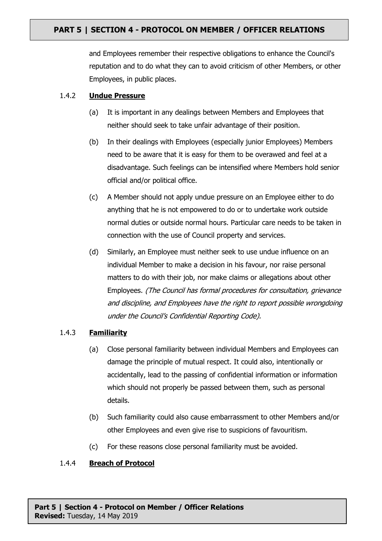and Employees remember their respective obligations to enhance the Council's reputation and to do what they can to avoid criticism of other Members, or other Employees, in public places.

### 1.4.2 **Undue Pressure**

- (a) It is important in any dealings between Members and Employees that neither should seek to take unfair advantage of their position.
- (b) In their dealings with Employees (especially junior Employees) Members need to be aware that it is easy for them to be overawed and feel at a disadvantage. Such feelings can be intensified where Members hold senior official and/or political office.
- (c) A Member should not apply undue pressure on an Employee either to do anything that he is not empowered to do or to undertake work outside normal duties or outside normal hours. Particular care needs to be taken in connection with the use of Council property and services.
- (d) Similarly, an Employee must neither seek to use undue influence on an individual Member to make a decision in his favour, nor raise personal matters to do with their job, nor make claims or allegations about other Employees. (The Council has formal procedures for consultation, grievance and discipline, and Employees have the right to report possible wrongdoing under the Council's Confidential Reporting Code).

### 1.4.3 **Familiarity**

- (a) Close personal familiarity between individual Members and Employees can damage the principle of mutual respect. It could also, intentionally or accidentally, lead to the passing of confidential information or information which should not properly be passed between them, such as personal details.
- (b) Such familiarity could also cause embarrassment to other Members and/or other Employees and even give rise to suspicions of favouritism.
- (c) For these reasons close personal familiarity must be avoided.

### 1.4.4 **Breach of Protocol**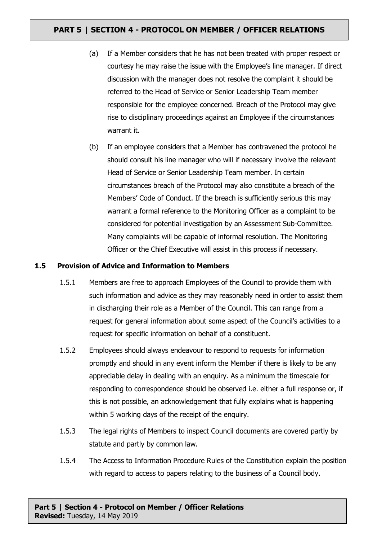- (a) If a Member considers that he has not been treated with proper respect or courtesy he may raise the issue with the Employee's line manager. If direct discussion with the manager does not resolve the complaint it should be referred to the Head of Service or Senior Leadership Team member responsible for the employee concerned. Breach of the Protocol may give rise to disciplinary proceedings against an Employee if the circumstances warrant it.
- (b) If an employee considers that a Member has contravened the protocol he should consult his line manager who will if necessary involve the relevant Head of Service or Senior Leadership Team member. In certain circumstances breach of the Protocol may also constitute a breach of the Members' Code of Conduct. If the breach is sufficiently serious this may warrant a formal reference to the Monitoring Officer as a complaint to be considered for potential investigation by an Assessment Sub-Committee. Many complaints will be capable of informal resolution. The Monitoring Officer or the Chief Executive will assist in this process if necessary.

#### **1.5 Provision of Advice and Information to Members**

- 1.5.1 Members are free to approach Employees of the Council to provide them with such information and advice as they may reasonably need in order to assist them in discharging their role as a Member of the Council. This can range from a request for general information about some aspect of the Council's activities to a request for specific information on behalf of a constituent.
- 1.5.2 Employees should always endeavour to respond to requests for information promptly and should in any event inform the Member if there is likely to be any appreciable delay in dealing with an enquiry. As a minimum the timescale for responding to correspondence should be observed i.e. either a full response or, if this is not possible, an acknowledgement that fully explains what is happening within 5 working days of the receipt of the enquiry.
- 1.5.3 The legal rights of Members to inspect Council documents are covered partly by statute and partly by common law.
- 1.5.4 The Access to Information Procedure Rules of the Constitution explain the position with regard to access to papers relating to the business of a Council body.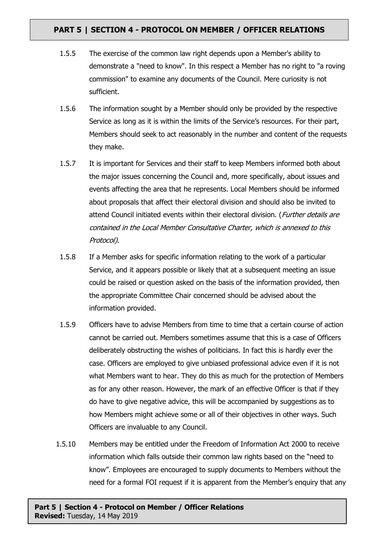- 1.5.5 The exercise of the common law right depends upon a Member's ability to demonstrate a "need to know". In this respect a Member has no right to "a roving commission" to examine any documents of the Council. Mere curiosity is not sufficient.
- 1.5.6 The information sought by a Member should only be provided by the respective Service as long as it is within the limits of the Service's resources. For their part, Members should seek to act reasonably in the number and content of the requests they make.
- 1.5.7 It is important for Services and their staff to keep Members informed both about the major issues concerning the Council and, more specifically, about issues and events affecting the area that he represents. Local Members should be informed about proposals that affect their electoral division and should also be invited to attend Council initiated events within their electoral division. (*Further details are* contained in the Local Member Consultative Charter, which is annexed to this Protocol).
- 1.5.8 If a Member asks for specific information relating to the work of a particular Service, and it appears possible or likely that at a subsequent meeting an issue could be raised or question asked on the basis of the information provided, then the appropriate Committee Chair concerned should be advised about the information provided.
- 1.5.9 Officers have to advise Members from time to time that a certain course of action cannot be carried out. Members sometimes assume that this is a case of Officers deliberately obstructing the wishes of politicians. In fact this is hardly ever the case. Officers are employed to give unbiased professional advice even if it is not what Members want to hear. They do this as much for the protection of Members as for any other reason. However, the mark of an effective Officer is that if they do have to give negative advice, this will be accompanied by suggestions as to how Members might achieve some or all of their objectives in other ways. Such Officers are invaluable to any Council.
- 1.5.10 Members may be entitled under the Freedom of Information Act 2000 to receive information which falls outside their common law rights based on the "need to know". Employees are encouraged to supply documents to Members without the need for a formal FOI request if it is apparent from the Member's enquiry that any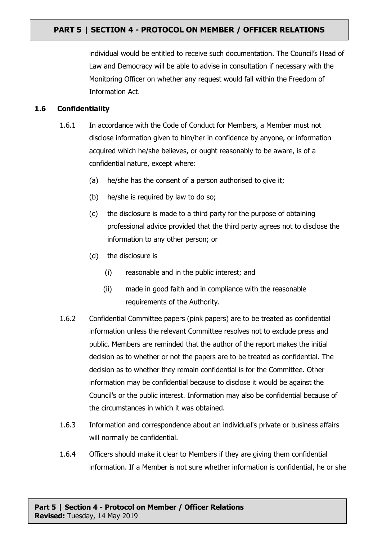individual would be entitled to receive such documentation. The Council's Head of Law and Democracy will be able to advise in consultation if necessary with the Monitoring Officer on whether any request would fall within the Freedom of Information Act.

### **1.6 Confidentiality**

- 1.6.1 In accordance with the Code of Conduct for Members, a Member must not disclose information given to him/her in confidence by anyone, or information acquired which he/she believes, or ought reasonably to be aware, is of a confidential nature, except where:
	- (a) he/she has the consent of a person authorised to give it;
	- (b) he/she is required by law to do so;
	- (c) the disclosure is made to a third party for the purpose of obtaining professional advice provided that the third party agrees not to disclose the information to any other person; or
	- (d) the disclosure is
		- (i) reasonable and in the public interest; and
		- (ii) made in good faith and in compliance with the reasonable requirements of the Authority.
- 1.6.2 Confidential Committee papers (pink papers) are to be treated as confidential information unless the relevant Committee resolves not to exclude press and public. Members are reminded that the author of the report makes the initial decision as to whether or not the papers are to be treated as confidential. The decision as to whether they remain confidential is for the Committee. Other information may be confidential because to disclose it would be against the Council's or the public interest. Information may also be confidential because of the circumstances in which it was obtained.
- 1.6.3 Information and correspondence about an individual's private or business affairs will normally be confidential.
- 1.6.4 Officers should make it clear to Members if they are giving them confidential information. If a Member is not sure whether information is confidential, he or she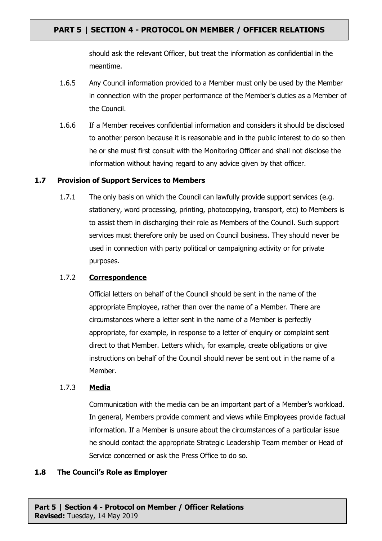should ask the relevant Officer, but treat the information as confidential in the meantime.

- 1.6.5 Any Council information provided to a Member must only be used by the Member in connection with the proper performance of the Member's duties as a Member of the Council.
- 1.6.6 If a Member receives confidential information and considers it should be disclosed to another person because it is reasonable and in the public interest to do so then he or she must first consult with the Monitoring Officer and shall not disclose the information without having regard to any advice given by that officer.

### **1.7 Provision of Support Services to Members**

1.7.1 The only basis on which the Council can lawfully provide support services (e.g. stationery, word processing, printing, photocopying, transport, etc) to Members is to assist them in discharging their role as Members of the Council. Such support services must therefore only be used on Council business. They should never be used in connection with party political or campaigning activity or for private purposes.

### 1.7.2 **Correspondence**

Official letters on behalf of the Council should be sent in the name of the appropriate Employee, rather than over the name of a Member. There are circumstances where a letter sent in the name of a Member is perfectly appropriate, for example, in response to a letter of enquiry or complaint sent direct to that Member. Letters which, for example, create obligations or give instructions on behalf of the Council should never be sent out in the name of a Member.

### 1.7.3 **Media**

Communication with the media can be an important part of a Member's workload. In general, Members provide comment and views while Employees provide factual information. If a Member is unsure about the circumstances of a particular issue he should contact the appropriate Strategic Leadership Team member or Head of Service concerned or ask the Press Office to do so.

#### **1.8 The Council's Role as Employer**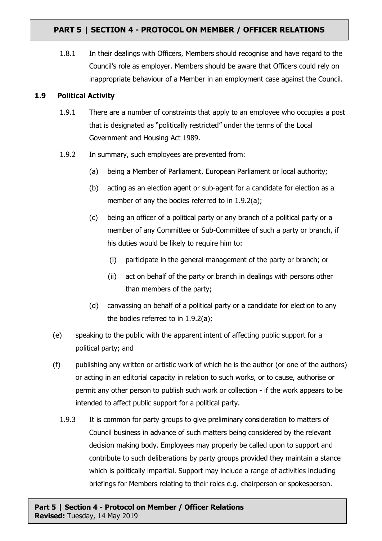1.8.1 In their dealings with Officers, Members should recognise and have regard to the Council's role as employer. Members should be aware that Officers could rely on inappropriate behaviour of a Member in an employment case against the Council.

### **1.9 Political Activity**

- 1.9.1 There are a number of constraints that apply to an employee who occupies a post that is designated as "politically restricted" under the terms of the Local Government and Housing Act 1989.
- 1.9.2 In summary, such employees are prevented from:
	- (a) being a Member of Parliament, European Parliament or local authority;
	- (b) acting as an election agent or sub-agent for a candidate for election as a member of any the bodies referred to in 1.9.2(a);
	- (c) being an officer of a political party or any branch of a political party or a member of any Committee or Sub-Committee of such a party or branch, if his duties would be likely to require him to:
		- (i) participate in the general management of the party or branch; or
		- (ii) act on behalf of the party or branch in dealings with persons other than members of the party;
	- (d) canvassing on behalf of a political party or a candidate for election to any the bodies referred to in 1.9.2(a);
- (e) speaking to the public with the apparent intent of affecting public support for a political party; and
- (f) publishing any written or artistic work of which he is the author (or one of the authors) or acting in an editorial capacity in relation to such works, or to cause, authorise or permit any other person to publish such work or collection - if the work appears to be intended to affect public support for a political party.
	- 1.9.3 It is common for party groups to give preliminary consideration to matters of Council business in advance of such matters being considered by the relevant decision making body. Employees may properly be called upon to support and contribute to such deliberations by party groups provided they maintain a stance which is politically impartial. Support may include a range of activities including briefings for Members relating to their roles e.g. chairperson or spokesperson.